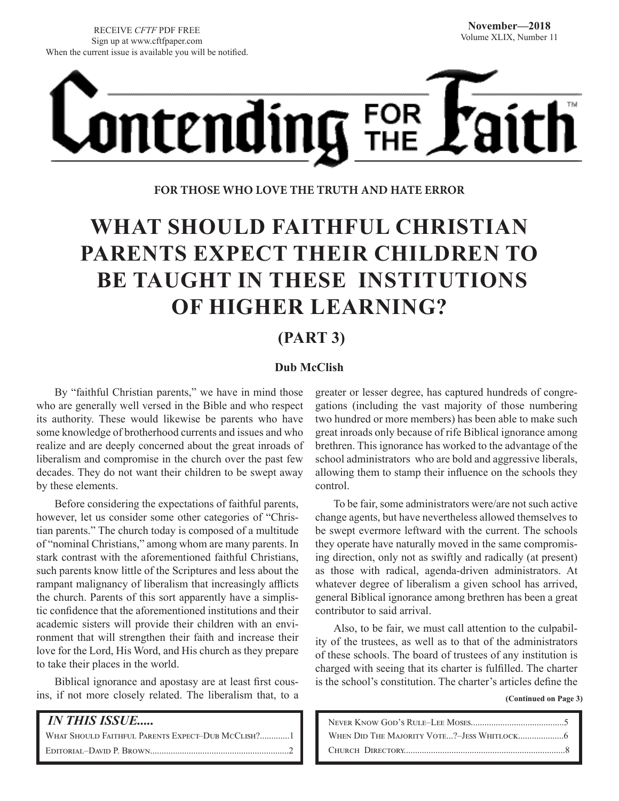

**FOR THOSE WHO LOVE THE TRUTH AND HATE ERROR**

# **WHAT SHOULD FAITHFUL CHRISTIAN PARENTS EXPECT THEIR CHILDREN TO BE TAUGHT IN THESE INSTITUTIONS OF HIGHER LEARNING?**

# **(PART 3)**

## **Dub McClish**

By "faithful Christian parents," we have in mind those who are generally well versed in the Bible and who respect its authority. These would likewise be parents who have some knowledge of brotherhood currents and issues and who realize and are deeply concerned about the great inroads of liberalism and compromise in the church over the past few decades. They do not want their children to be swept away by these elements.

Before considering the expectations of faithful parents, however, let us consider some other categories of "Christian parents." The church today is composed of a multitude of "nominal Christians," among whom are many parents. In stark contrast with the aforementioned faithful Christians, such parents know little of the Scriptures and less about the rampant malignancy of liberalism that increasingly afflicts the church. Parents of this sort apparently have a simplistic confidence that the aforementioned institutions and their academic sisters will provide their children with an environment that will strengthen their faith and increase their love for the Lord, His Word, and His church as they prepare to take their places in the world.

Biblical ignorance and apostasy are at least first cousins, if not more closely related. The liberalism that, to a

 *IN THIS ISSUE.....* WHAT SHOULD FAITHFUL PARENTS EXPECT-DUB MCCLISH?.............1 Editorial–David P. Brown.............................................................2

greater or lesser degree, has captured hundreds of congregations (including the vast majority of those numbering two hundred or more members) has been able to make such great inroads only because of rife Biblical ignorance among brethren. This ignorance has worked to the advantage of the school administrators who are bold and aggressive liberals, allowing them to stamp their influence on the schools they control.

To be fair, some administrators were/are not such active change agents, but have nevertheless allowed themselves to be swept evermore leftward with the current. The schools they operate have naturally moved in the same compromising direction, only not as swiftly and radically (at present) as those with radical, agenda-driven administrators. At whatever degree of liberalism a given school has arrived, general Biblical ignorance among brethren has been a great contributor to said arrival.

Also, to be fair, we must call attention to the culpability of the trustees, as well as to that of the administrators of these schools. The board of trustees of any institution is charged with seeing that its charter is fulfilled. The charter is the school's constitution. The charter's articles define the

 **(Continued on Page 3)**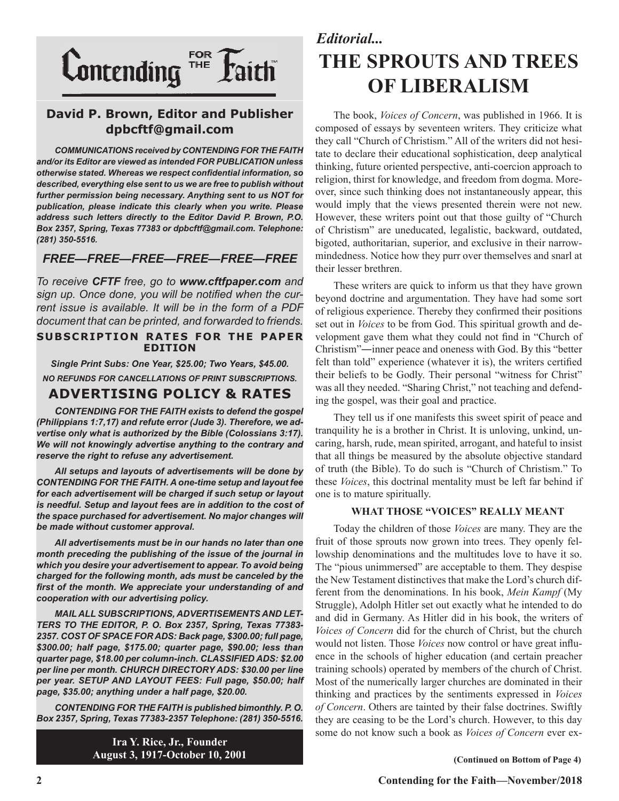

## **David P. Brown, Editor and Publisher dpbcftf@gmail.com**

*COMMUNICATIONS received by CONTENDING FOR THE FAITH and/or its Editor are viewed as intended FOR PUBLICATION unless otherwise stated. Whereas we respect confidential information, so described, everything else sent to us we are free to publish without further permission being necessary. Anything sent to us NOT for publication, please indicate this clearly when you write. Please address such letters directly to the Editor David P. Brown, P.O. Box 2357, Spring, Texas 77383 or dpbcftf@gmail.com. Telephone: (281) 350-5516.*

## *FREE—FREE—FREE—FREE—FREE—FREE*

*To receive CFTF free, go to www.cftfpaper.com and sign up. Once done, you will be notified when the current issue is available. It will be in the form of a PDF document that can be printed, and forwarded to friends.*

#### **SUBSCRIPTION RATES FOR THE PAPER EDITION**

*Single Print Subs: One Year, \$25.00; Two Years, \$45.00. NO REFUNDS FOR CANCELLATIONS OF PRINT SUBSCRIPTIONS.*

# **ADVERTISING POLICY & RATES**

*CONTENDING FOR THE FAITH exists to defend the gospel (Philippians 1:7,17) and refute error (Jude 3). Therefore, we advertise only what is authorized by the Bible (Colossians 3:17). We will not knowingly advertise anything to the contrary and reserve the right to refuse any advertisement.*

*All setups and layouts of advertisements will be done by CONTENDING FOR THE FAITH. A one-time setup and layout fee for each advertisement will be charged if such setup or layout*  is needful. Setup and layout fees are in addition to the cost of *the space purchased for advertisement. No major changes will be made without customer approval.*

*All advertisements must be in our hands no later than one month preceding the publishing of the issue of the journal in which you desire your advertisement to appear. To avoid being charged for the following month, ads must be canceled by the first of the month. We appreciate your understanding of and cooperation with our advertising policy.*

*MAIL ALL SUBSCRIPTIONS, ADVERTISEMENTS AND LET-TERS TO THE EDITOR, P. O. Box 2357, Spring, Texas 77383- 2357. COST OF SPACE FOR ADS: Back page, \$300.00; full page, \$300.00; half page, \$175.00; quarter page, \$90.00; less than quarter page, \$18.00 per column-inch. CLASSIFIED ADS: \$2.00 per line per month. CHURCH DIRECTORY ADS: \$30.00 per line per year. SETUP AND LAYOUT FEES: Full page, \$50.00; half page, \$35.00; anything under a half page, \$20.00.*

*CONTENDING FOR THE FAITH is published bimonthly. P. O. Box 2357, Spring, Texas 77383-2357 Telephone: (281) 350-5516.*

> **Ira Y. Rice, Jr., Founder August 3, 1917-October 10, 2001**

# *Editorial...* **THE SPROUTS AND TREES OF LIBERALISM**

The book, *Voices of Concern*, was published in 1966. It is composed of essays by seventeen writers. They criticize what they call "Church of Christism." All of the writers did not hesitate to declare their educational sophistication, deep analytical thinking, future oriented perspective, anti-coercion approach to religion, thirst for knowledge, and freedom from dogma. Moreover, since such thinking does not instantaneously appear, this would imply that the views presented therein were not new. However, these writers point out that those guilty of "Church of Christism" are uneducated, legalistic, backward, outdated, bigoted, authoritarian, superior, and exclusive in their narrowmindedness. Notice how they purr over themselves and snarl at their lesser brethren.

These writers are quick to inform us that they have grown beyond doctrine and argumentation. They have had some sort of religious experience. Thereby they confirmed their positions set out in *Voices* to be from God. This spiritual growth and development gave them what they could not find in "Church of Christism"―inner peace and oneness with God. By this "better felt than told" experience (whatever it is), the writers certified their beliefs to be Godly. Their personal "witness for Christ" was all they needed. "Sharing Christ," not teaching and defending the gospel, was their goal and practice.

They tell us if one manifests this sweet spirit of peace and tranquility he is a brother in Christ. It is unloving, unkind, uncaring, harsh, rude, mean spirited, arrogant, and hateful to insist that all things be measured by the absolute objective standard of truth (the Bible). To do such is "Church of Christism." To these *Voices*, this doctrinal mentality must be left far behind if one is to mature spiritually.

### **WHAT THOSE "VOICES" REALLY MEANT**

Today the children of those *Voices* are many. They are the fruit of those sprouts now grown into trees. They openly fellowship denominations and the multitudes love to have it so. The "pious unimmersed" are acceptable to them. They despise the New Testament distinctives that make the Lord's church different from the denominations. In his book, *Mein Kampf* (My Struggle), Adolph Hitler set out exactly what he intended to do and did in Germany. As Hitler did in his book, the writers of *Voices of Concern* did for the church of Christ, but the church would not listen. Those *Voices* now control or have great influence in the schools of higher education (and certain preacher training schools) operated by members of the church of Christ. Most of the numerically larger churches are dominated in their thinking and practices by the sentiments expressed in *Voices of Concern*. Others are tainted by their false doctrines. Swiftly they are ceasing to be the Lord's church. However, to this day some do not know such a book as *Voices of Concern* ever ex-

**(Continued on Bottom of Page 4)**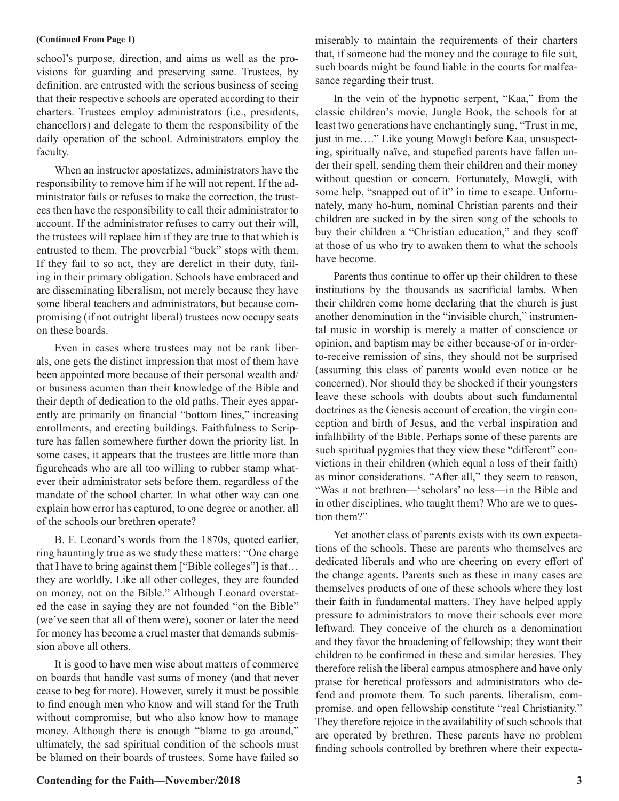#### **(Continued From Page 1)**

school's purpose, direction, and aims as well as the provisions for guarding and preserving same. Trustees, by definition, are entrusted with the serious business of seeing that their respective schools are operated according to their charters. Trustees employ administrators (i.e., presidents, chancellors) and delegate to them the responsibility of the daily operation of the school. Administrators employ the faculty.

When an instructor apostatizes, administrators have the responsibility to remove him if he will not repent. If the administrator fails or refuses to make the correction, the trustees then have the responsibility to call their administrator to account. If the administrator refuses to carry out their will, the trustees will replace him if they are true to that which is entrusted to them. The proverbial "buck" stops with them. If they fail to so act, they are derelict in their duty, failing in their primary obligation. Schools have embraced and are disseminating liberalism, not merely because they have some liberal teachers and administrators, but because compromising (if not outright liberal) trustees now occupy seats on these boards.

Even in cases where trustees may not be rank liberals, one gets the distinct impression that most of them have been appointed more because of their personal wealth and/ or business acumen than their knowledge of the Bible and their depth of dedication to the old paths. Their eyes apparently are primarily on financial "bottom lines," increasing enrollments, and erecting buildings. Faithfulness to Scripture has fallen somewhere further down the priority list. In some cases, it appears that the trustees are little more than figureheads who are all too willing to rubber stamp whatever their administrator sets before them, regardless of the mandate of the school charter. In what other way can one explain how error has captured, to one degree or another, all of the schools our brethren operate?

B. F. Leonard's words from the 1870s, quoted earlier, ring hauntingly true as we study these matters: "One charge that I have to bring against them ["Bible colleges"] is that… they are worldly. Like all other colleges, they are founded on money, not on the Bible." Although Leonard overstated the case in saying they are not founded "on the Bible" (we've seen that all of them were), sooner or later the need for money has become a cruel master that demands submission above all others.

It is good to have men wise about matters of commerce on boards that handle vast sums of money (and that never cease to beg for more). However, surely it must be possible to find enough men who know and will stand for the Truth without compromise, but who also know how to manage money. Although there is enough "blame to go around," ultimately, the sad spiritual condition of the schools must be blamed on their boards of trustees. Some have failed so

miserably to maintain the requirements of their charters that, if someone had the money and the courage to file suit, such boards might be found liable in the courts for malfeasance regarding their trust.

In the vein of the hypnotic serpent, "Kaa," from the classic children's movie, Jungle Book, the schools for at least two generations have enchantingly sung, "Trust in me, just in me…." Like young Mowgli before Kaa, unsuspecting, spiritually naïve, and stupefied parents have fallen under their spell, sending them their children and their money without question or concern. Fortunately, Mowgli, with some help, "snapped out of it" in time to escape. Unfortunately, many ho-hum, nominal Christian parents and their children are sucked in by the siren song of the schools to buy their children a "Christian education," and they scoff at those of us who try to awaken them to what the schools have become.

Parents thus continue to offer up their children to these institutions by the thousands as sacrificial lambs. When their children come home declaring that the church is just another denomination in the "invisible church," instrumental music in worship is merely a matter of conscience or opinion, and baptism may be either because-of or in-orderto-receive remission of sins, they should not be surprised (assuming this class of parents would even notice or be concerned). Nor should they be shocked if their youngsters leave these schools with doubts about such fundamental doctrines as the Genesis account of creation, the virgin conception and birth of Jesus, and the verbal inspiration and infallibility of the Bible. Perhaps some of these parents are such spiritual pygmies that they view these "different" convictions in their children (which equal a loss of their faith) as minor considerations. "After all," they seem to reason, "Was it not brethren—'scholars' no less—in the Bible and in other disciplines, who taught them? Who are we to question them?"

Yet another class of parents exists with its own expectations of the schools. These are parents who themselves are dedicated liberals and who are cheering on every effort of the change agents. Parents such as these in many cases are themselves products of one of these schools where they lost their faith in fundamental matters. They have helped apply pressure to administrators to move their schools ever more leftward. They conceive of the church as a denomination and they favor the broadening of fellowship; they want their children to be confirmed in these and similar heresies. They therefore relish the liberal campus atmosphere and have only praise for heretical professors and administrators who defend and promote them. To such parents, liberalism, compromise, and open fellowship constitute "real Christianity." They therefore rejoice in the availability of such schools that are operated by brethren. These parents have no problem finding schools controlled by brethren where their expecta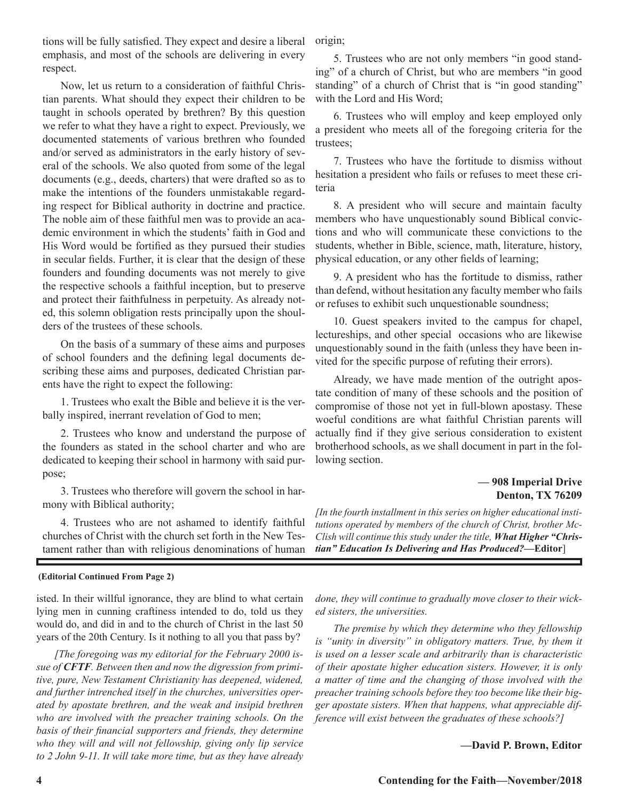tions will be fully satisfied. They expect and desire a liberal emphasis, and most of the schools are delivering in every respect.

Now, let us return to a consideration of faithful Christian parents. What should they expect their children to be taught in schools operated by brethren? By this question we refer to what they have a right to expect. Previously, we documented statements of various brethren who founded and/or served as administrators in the early history of several of the schools. We also quoted from some of the legal documents (e.g., deeds, charters) that were drafted so as to make the intentions of the founders unmistakable regarding respect for Biblical authority in doctrine and practice. The noble aim of these faithful men was to provide an academic environment in which the students' faith in God and His Word would be fortified as they pursued their studies in secular fields. Further, it is clear that the design of these founders and founding documents was not merely to give the respective schools a faithful inception, but to preserve and protect their faithfulness in perpetuity. As already noted, this solemn obligation rests principally upon the shoulders of the trustees of these schools.

On the basis of a summary of these aims and purposes of school founders and the defining legal documents describing these aims and purposes, dedicated Christian parents have the right to expect the following:

1. Trustees who exalt the Bible and believe it is the verbally inspired, inerrant revelation of God to men;

2. Trustees who know and understand the purpose of the founders as stated in the school charter and who are dedicated to keeping their school in harmony with said purpose;

3. Trustees who therefore will govern the school in harmony with Biblical authority;

4. Trustees who are not ashamed to identify faithful churches of Christ with the church set forth in the New Testament rather than with religious denominations of human

#### **(Editorial Continued From Page 2)**

isted. In their willful ignorance, they are blind to what certain lying men in cunning craftiness intended to do, told us they would do, and did in and to the church of Christ in the last 50 years of the 20th Century. Is it nothing to all you that pass by?

*[The foregoing was my editorial for the February 2000 issue of CFTF. Between then and now the digression from primitive, pure, New Testament Christianity has deepened, widened, and further intrenched itself in the churches, universities operated by apostate brethren, and the weak and insipid brethren who are involved with the preacher training schools. On the basis of their financial supporters and friends, they determine who they will and will not fellowship, giving only lip service to 2 John 9-11. It will take more time, but as they have already*  origin;

5. Trustees who are not only members "in good standing" of a church of Christ, but who are members "in good standing" of a church of Christ that is "in good standing" with the Lord and His Word;

6. Trustees who will employ and keep employed only a president who meets all of the foregoing criteria for the trustees;

7. Trustees who have the fortitude to dismiss without hesitation a president who fails or refuses to meet these criteria

8. A president who will secure and maintain faculty members who have unquestionably sound Biblical convictions and who will communicate these convictions to the students, whether in Bible, science, math, literature, history, physical education, or any other fields of learning;

9. A president who has the fortitude to dismiss, rather than defend, without hesitation any faculty member who fails or refuses to exhibit such unquestionable soundness;

10. Guest speakers invited to the campus for chapel, lectureships, and other special occasions who are likewise unquestionably sound in the faith (unless they have been invited for the specific purpose of refuting their errors).

Already, we have made mention of the outright apostate condition of many of these schools and the position of compromise of those not yet in full-blown apostasy. These woeful conditions are what faithful Christian parents will actually find if they give serious consideration to existent brotherhood schools, as we shall document in part in the following section.

## **— 908 Imperial Drive Denton, TX 76209**

*[In the fourth installment in this series on higher educational institutions operated by members of the church of Christ, brother Mc-Clish will continue this study under the title, What Higher "Christian" Education Is Delivering and Has Produced?***—Editor**]

*done, they will continue to gradually move closer to their wicked sisters, the universities.* 

*The premise by which they determine who they fellowship*  is "unity in diversity" in obligatory matters. True, by them it *is used on a lesser scale and arbitrarily than is characteristic of their apostate higher education sisters. However, it is only a matter of time and the changing of those involved with the preacher training schools before they too become like their bigger apostate sisters. When that happens, what appreciable difference will exist between the graduates of these schools?]*

#### **—David P. Brown, Editor**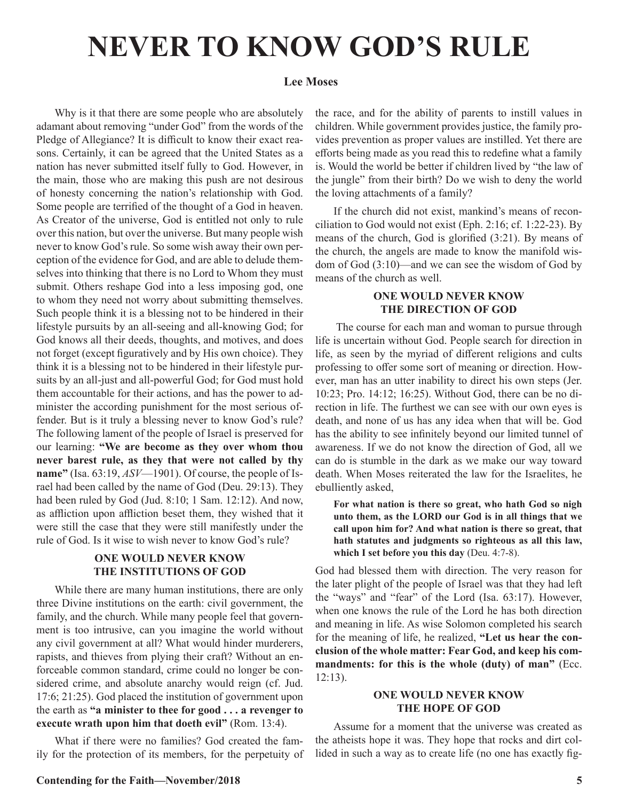# **NEVER TO KNOW GOD'S RULE**

## **Lee Moses**

Why is it that there are some people who are absolutely adamant about removing "under God" from the words of the Pledge of Allegiance? It is difficult to know their exact reasons. Certainly, it can be agreed that the United States as a nation has never submitted itself fully to God. However, in the main, those who are making this push are not desirous of honesty concerning the nation's relationship with God. Some people are terrified of the thought of a God in heaven. As Creator of the universe, God is entitled not only to rule over this nation, but over the universe. But many people wish never to know God's rule. So some wish away their own perception of the evidence for God, and are able to delude themselves into thinking that there is no Lord to Whom they must submit. Others reshape God into a less imposing god, one to whom they need not worry about submitting themselves. Such people think it is a blessing not to be hindered in their lifestyle pursuits by an all-seeing and all-knowing God; for God knows all their deeds, thoughts, and motives, and does not forget (except figuratively and by His own choice). They think it is a blessing not to be hindered in their lifestyle pursuits by an all-just and all-powerful God; for God must hold them accountable for their actions, and has the power to administer the according punishment for the most serious offender. But is it truly a blessing never to know God's rule? The following lament of the people of Israel is preserved for our learning: **"We are become as they over whom thou never barest rule, as they that were not called by thy name"** (Isa. 63:19, *ASV*—1901). Of course, the people of Israel had been called by the name of God (Deu. 29:13). They had been ruled by God (Jud. 8:10; 1 Sam. 12:12). And now, as affliction upon affliction beset them, they wished that it were still the case that they were still manifestly under the rule of God. Is it wise to wish never to know God's rule?

### **ONE WOULD NEVER KNOW THE INSTITUTIONS OF GOD**

While there are many human institutions, there are only three Divine institutions on the earth: civil government, the family, and the church. While many people feel that government is too intrusive, can you imagine the world without any civil government at all? What would hinder murderers, rapists, and thieves from plying their craft? Without an enforceable common standard, crime could no longer be considered crime, and absolute anarchy would reign (cf. Jud. 17:6; 21:25). God placed the institution of government upon the earth as **"a minister to thee for good . . . a revenger to execute wrath upon him that doeth evil"** (Rom. 13:4).

What if there were no families? God created the family for the protection of its members, for the perpetuity of the race, and for the ability of parents to instill values in children. While government provides justice, the family provides prevention as proper values are instilled. Yet there are efforts being made as you read this to redefine what a family is. Would the world be better if children lived by "the law of the jungle" from their birth? Do we wish to deny the world the loving attachments of a family?

If the church did not exist, mankind's means of reconciliation to God would not exist (Eph. 2:16; cf. 1:22-23). By means of the church, God is glorified (3:21). By means of the church, the angels are made to know the manifold wisdom of God (3:10)—and we can see the wisdom of God by means of the church as well.

## **ONE WOULD NEVER KNOW THE DIRECTION OF GOD**

 The course for each man and woman to pursue through life is uncertain without God. People search for direction in life, as seen by the myriad of different religions and cults professing to offer some sort of meaning or direction. However, man has an utter inability to direct his own steps (Jer. 10:23; Pro. 14:12; 16:25). Without God, there can be no direction in life. The furthest we can see with our own eyes is death, and none of us has any idea when that will be. God has the ability to see infinitely beyond our limited tunnel of awareness. If we do not know the direction of God, all we can do is stumble in the dark as we make our way toward death. When Moses reiterated the law for the Israelites, he ebulliently asked,

**For what nation is there so great, who hath God so nigh unto them, as the LORD our God is in all things that we call upon him for? And what nation is there so great, that hath statutes and judgments so righteous as all this law, which I set before you this day** (Deu. 4:7-8).

God had blessed them with direction. The very reason for the later plight of the people of Israel was that they had left the "ways" and "fear" of the Lord (Isa. 63:17). However, when one knows the rule of the Lord he has both direction and meaning in life. As wise Solomon completed his search for the meaning of life, he realized, **"Let us hear the conclusion of the whole matter: Fear God, and keep his commandments: for this is the whole (duty) of man"** (Ecc. 12:13).

### **ONE WOULD NEVER KNOW THE HOPE OF GOD**

Assume for a moment that the universe was created as the atheists hope it was. They hope that rocks and dirt collided in such a way as to create life (no one has exactly fig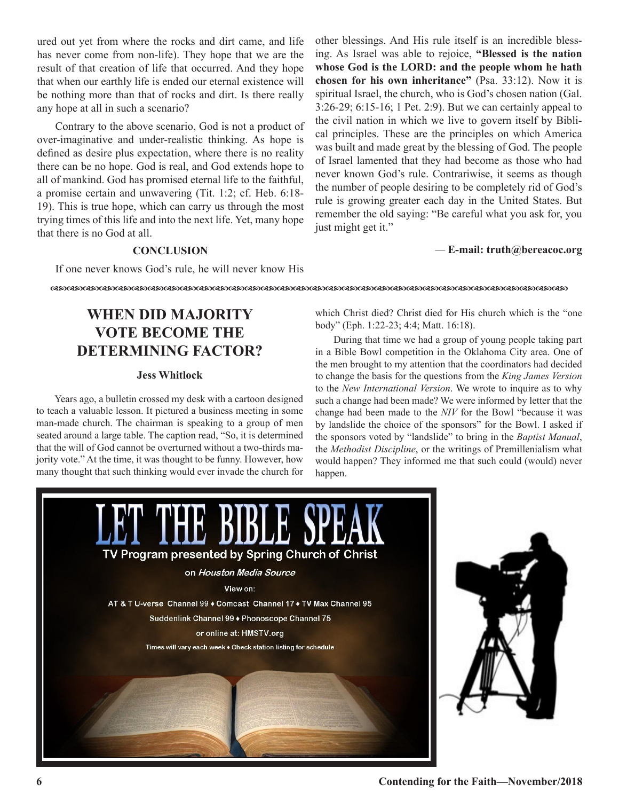ured out yet from where the rocks and dirt came, and life has never come from non-life). They hope that we are the result of that creation of life that occurred. And they hope that when our earthly life is ended our eternal existence will be nothing more than that of rocks and dirt. Is there really any hope at all in such a scenario?

Contrary to the above scenario, God is not a product of over-imaginative and under-realistic thinking. As hope is defined as desire plus expectation, where there is no reality there can be no hope. God is real, and God extends hope to all of mankind. God has promised eternal life to the faithful, a promise certain and unwavering (Tit. 1:2; cf. Heb. 6:18- 19). This is true hope, which can carry us through the most trying times of this life and into the next life. Yet, many hope that there is no God at all.

other blessings. And His rule itself is an incredible blessing. As Israel was able to rejoice, **"Blessed is the nation whose God is the LORD: and the people whom he hath chosen for his own inheritance"** (Psa. 33:12). Now it is spiritual Israel, the church, who is God's chosen nation (Gal. 3:26-29; 6:15-16; 1 Pet. 2:9). But we can certainly appeal to the civil nation in which we live to govern itself by Biblical principles. These are the principles on which America was built and made great by the blessing of God. The people of Israel lamented that they had become as those who had never known God's rule. Contrariwise, it seems as though the number of people desiring to be completely rid of God's rule is growing greater each day in the United States. But remember the old saying: "Be careful what you ask for, you just might get it."

#### *—* **E-mail: truth@bereacoc.org**

### **CONCLUSION**

If one never knows God's rule, he will never know His

dcdcdcdcdcdcdcdcdcdcdcdcdcdcdcdcdcdcdcdcdcdcdcdcdcdcdcdcdcdcdcdc

# **WHEN DID MAJORITY VOTE BECOME THE DETERMINING FACTOR?**

#### **Jess Whitlock**

Years ago, a bulletin crossed my desk with a cartoon designed to teach a valuable lesson. It pictured a business meeting in some man-made church. The chairman is speaking to a group of men seated around a large table. The caption read, "So, it is determined that the will of God cannot be overturned without a two-thirds majority vote." At the time, it was thought to be funny. However, how many thought that such thinking would ever invade the church for

which Christ died? Christ died for His church which is the "one body" (Eph. 1:22-23; 4:4; Matt. 16:18).

During that time we had a group of young people taking part in a Bible Bowl competition in the Oklahoma City area. One of the men brought to my attention that the coordinators had decided to change the basis for the questions from the *King James Version*  to the *New International Version*. We wrote to inquire as to why such a change had been made? We were informed by letter that the change had been made to the *NIV* for the Bowl "because it was by landslide the choice of the sponsors" for the Bowl. I asked if the sponsors voted by "landslide" to bring in the *Baptist Manual*, the *Methodist Discipline*, or the writings of Premillenialism what would happen? They informed me that such could (would) never happen.

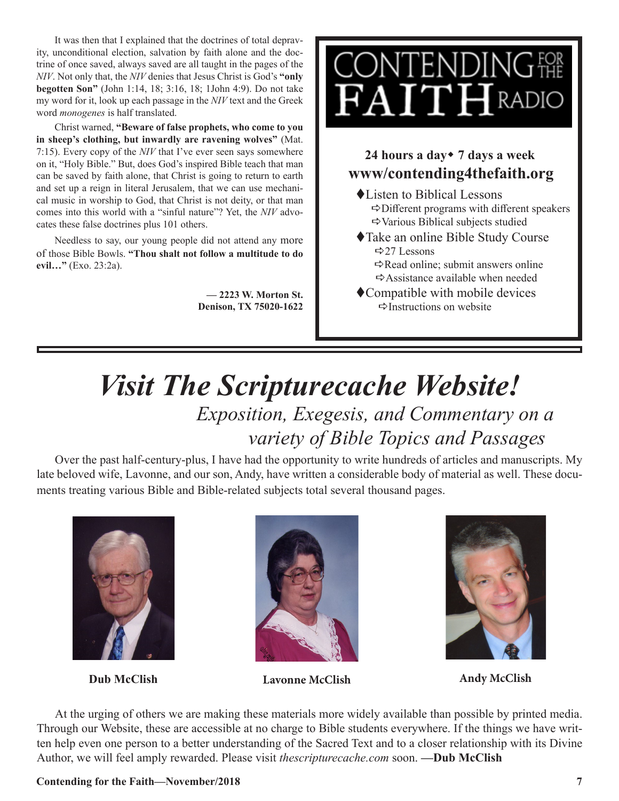It was then that I explained that the doctrines of total depravity, unconditional election, salvation by faith alone and the doctrine of once saved, always saved are all taught in the pages of the *NIV*. Not only that, the *NIV* denies that Jesus Christ is God's **"only begotten Son"** (John 1:14, 18; 3:16, 18; 1John 4:9). Do not take my word for it, look up each passage in the *NIV* text and the Greek word *monogenes* is half translated.

Christ warned, **"Beware of false prophets, who come to you in sheep's clothing, but inwardly are ravening wolves"** (Mat. 7:15). Every copy of the *NIV* that I've ever seen says somewhere on it, "Holy Bible." But, does God's inspired Bible teach that man can be saved by faith alone, that Christ is going to return to earth and set up a reign in literal Jerusalem, that we can use mechanical music in worship to God, that Christ is not deity, or that man comes into this world with a "sinful nature"? Yet, the *NIV* advocates these false doctrines plus 101 others.

Needless to say, our young people did not attend any more of those Bible Bowls. **"Thou shalt not follow a multitude to do evil…"** (Exo. 23:2a).

> **— 2223 W. Morton St. Denison, TX 75020-1622**



# **24 hours a day**w **7 days a week www/contending4thefaith.org**

- $\triangle$ Listen to Biblical Lessons  $\Rightarrow$  Different programs with different speakers  $\Rightarrow$  Various Biblical subjects studied
- ◆Take an online Bible Study Course  $\Rightarrow$  27 Lessons
	- $\Rightarrow$  Read online; submit answers online  $\Rightarrow$  Assistance available when needed
- $\bullet$  Compatible with mobile devices  $\Rightarrow$ Instructions on website

# *Visit The Scripturecache Website! Exposition, Exegesis, and Commentary on a variety of Bible Topics and Passages*

Over the past half-century-plus, I have had the opportunity to write hundreds of articles and manuscripts. My late beloved wife, Lavonne, and our son, Andy, have written a considerable body of material as well. These documents treating various Bible and Bible-related subjects total several thousand pages.





**Dub McClish Lavonne McClish Andy McClish**



At the urging of others we are making these materials more widely available than possible by printed media. Through our Website, these are accessible at no charge to Bible students everywhere. If the things we have written help even one person to a better understanding of the Sacred Text and to a closer relationship with its Divine Author, we will feel amply rewarded. Please visit *thescripturecache.com* soon. **—Dub McClish**